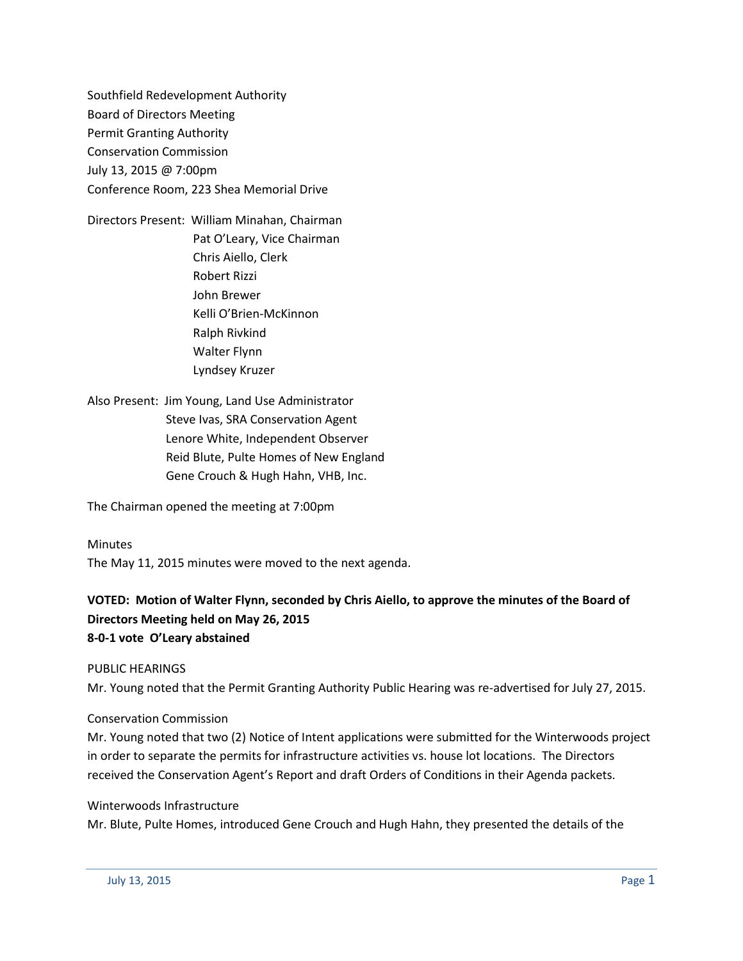Southfield Redevelopment Authority Board of Directors Meeting Permit Granting Authority Conservation Commission July 13, 2015 @ 7:00pm Conference Room, 223 Shea Memorial Drive

Directors Present: William Minahan, Chairman Pat O'Leary, Vice Chairman Chris Aiello, Clerk Robert Rizzi John Brewer Kelli O'Brien-McKinnon Ralph Rivkind Walter Flynn Lyndsey Kruzer

Also Present: Jim Young, Land Use Administrator Steve Ivas, SRA Conservation Agent Lenore White, Independent Observer Reid Blute, Pulte Homes of New England Gene Crouch & Hugh Hahn, VHB, Inc.

The Chairman opened the meeting at 7:00pm

Minutes

The May 11, 2015 minutes were moved to the next agenda.

# **VOTED: Motion of Walter Flynn, seconded by Chris Aiello, to approve the minutes of the Board of Directors Meeting held on May 26, 2015 8-0-1 vote O'Leary abstained**

PUBLIC HEARINGS

Mr. Young noted that the Permit Granting Authority Public Hearing was re-advertised for July 27, 2015.

#### Conservation Commission

Mr. Young noted that two (2) Notice of Intent applications were submitted for the Winterwoods project in order to separate the permits for infrastructure activities vs. house lot locations. The Directors received the Conservation Agent's Report and draft Orders of Conditions in their Agenda packets.

Winterwoods Infrastructure

Mr. Blute, Pulte Homes, introduced Gene Crouch and Hugh Hahn, they presented the details of the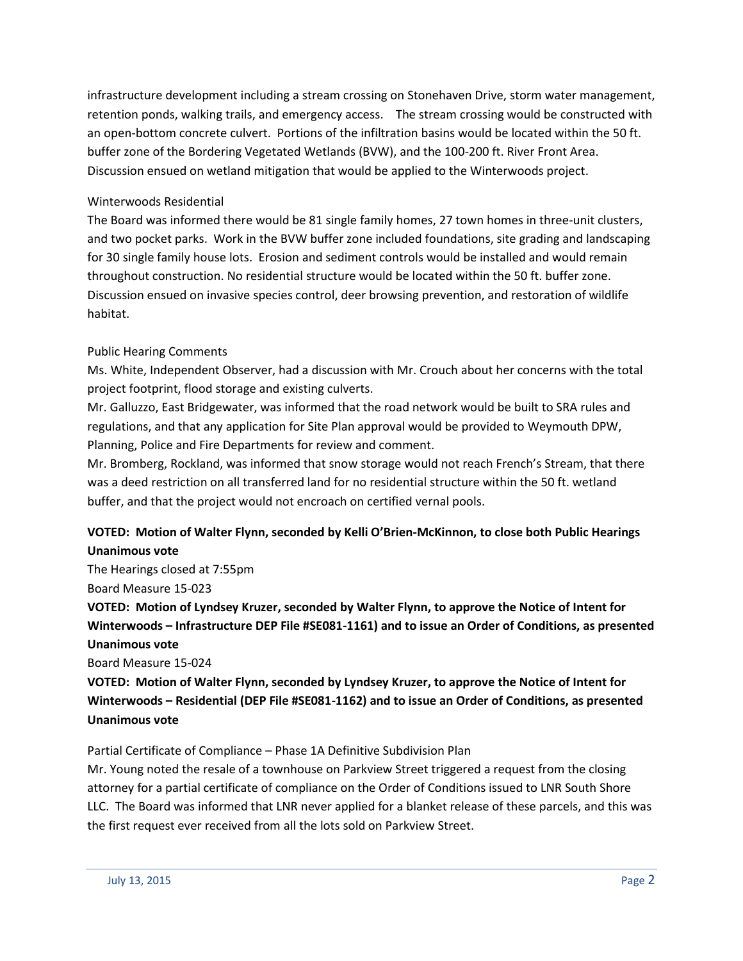infrastructure development including a stream crossing on Stonehaven Drive, storm water management, retention ponds, walking trails, and emergency access. The stream crossing would be constructed with an open-bottom concrete culvert. Portions of the infiltration basins would be located within the 50 ft. buffer zone of the Bordering Vegetated Wetlands (BVW), and the 100-200 ft. River Front Area. Discussion ensued on wetland mitigation that would be applied to the Winterwoods project.

## Winterwoods Residential

The Board was informed there would be 81 single family homes, 27 town homes in three-unit clusters, and two pocket parks. Work in the BVW buffer zone included foundations, site grading and landscaping for 30 single family house lots. Erosion and sediment controls would be installed and would remain throughout construction. No residential structure would be located within the 50 ft. buffer zone. Discussion ensued on invasive species control, deer browsing prevention, and restoration of wildlife habitat.

## Public Hearing Comments

Ms. White, Independent Observer, had a discussion with Mr. Crouch about her concerns with the total project footprint, flood storage and existing culverts.

Mr. Galluzzo, East Bridgewater, was informed that the road network would be built to SRA rules and regulations, and that any application for Site Plan approval would be provided to Weymouth DPW, Planning, Police and Fire Departments for review and comment.

Mr. Bromberg, Rockland, was informed that snow storage would not reach French's Stream, that there was a deed restriction on all transferred land for no residential structure within the 50 ft. wetland buffer, and that the project would not encroach on certified vernal pools.

# **VOTED: Motion of Walter Flynn, seconded by Kelli O'Brien-McKinnon, to close both Public Hearings Unanimous vote**

The Hearings closed at 7:55pm Board Measure 15-023

**VOTED: Motion of Lyndsey Kruzer, seconded by Walter Flynn, to approve the Notice of Intent for Winterwoods – Infrastructure DEP File #SE081-1161) and to issue an Order of Conditions, as presented Unanimous vote**

Board Measure 15-024

**VOTED: Motion of Walter Flynn, seconded by Lyndsey Kruzer, to approve the Notice of Intent for Winterwoods – Residential (DEP File #SE081-1162) and to issue an Order of Conditions, as presented Unanimous vote**

Partial Certificate of Compliance – Phase 1A Definitive Subdivision Plan

Mr. Young noted the resale of a townhouse on Parkview Street triggered a request from the closing attorney for a partial certificate of compliance on the Order of Conditions issued to LNR South Shore LLC. The Board was informed that LNR never applied for a blanket release of these parcels, and this was the first request ever received from all the lots sold on Parkview Street.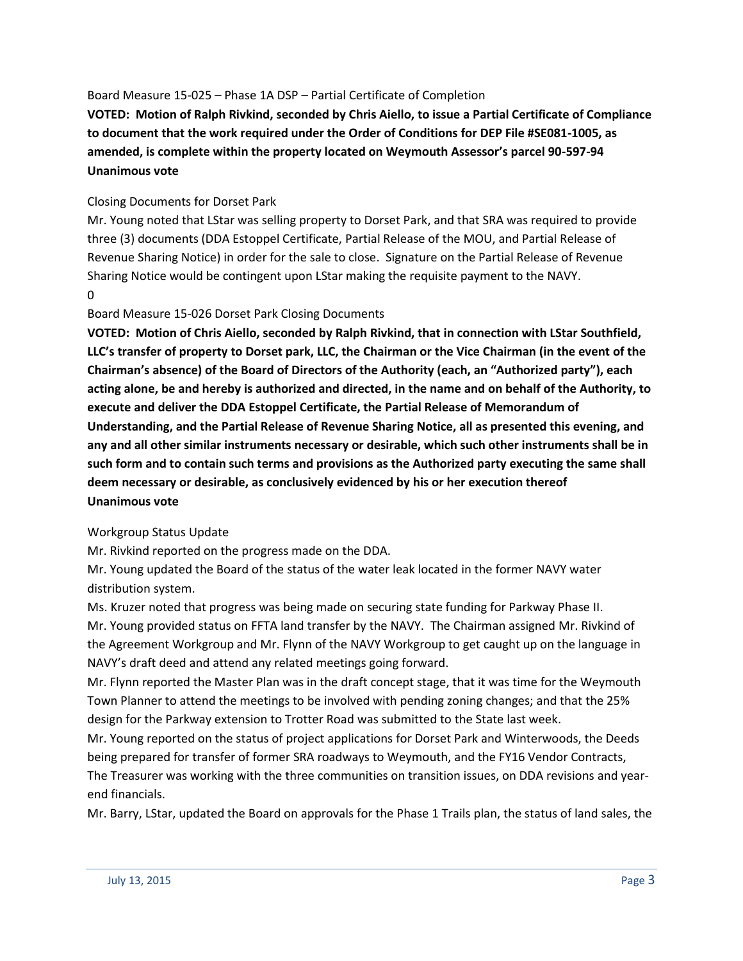### Board Measure 15-025 – Phase 1A DSP – Partial Certificate of Completion

**VOTED: Motion of Ralph Rivkind, seconded by Chris Aiello, to issue a Partial Certificate of Compliance to document that the work required under the Order of Conditions for DEP File #SE081-1005, as amended, is complete within the property located on Weymouth Assessor's parcel 90-597-94 Unanimous vote**

### Closing Documents for Dorset Park

Mr. Young noted that LStar was selling property to Dorset Park, and that SRA was required to provide three (3) documents (DDA Estoppel Certificate, Partial Release of the MOU, and Partial Release of Revenue Sharing Notice) in order for the sale to close. Signature on the Partial Release of Revenue Sharing Notice would be contingent upon LStar making the requisite payment to the NAVY. 0

#### Board Measure 15-026 Dorset Park Closing Documents

**VOTED: Motion of Chris Aiello, seconded by Ralph Rivkind, that in connection with LStar Southfield, LLC's transfer of property to Dorset park, LLC, the Chairman or the Vice Chairman (in the event of the Chairman's absence) of the Board of Directors of the Authority (each, an "Authorized party"), each acting alone, be and hereby is authorized and directed, in the name and on behalf of the Authority, to execute and deliver the DDA Estoppel Certificate, the Partial Release of Memorandum of Understanding, and the Partial Release of Revenue Sharing Notice, all as presented this evening, and any and all other similar instruments necessary or desirable, which such other instruments shall be in such form and to contain such terms and provisions as the Authorized party executing the same shall deem necessary or desirable, as conclusively evidenced by his or her execution thereof Unanimous vote**

#### Workgroup Status Update

Mr. Rivkind reported on the progress made on the DDA.

Mr. Young updated the Board of the status of the water leak located in the former NAVY water distribution system.

Ms. Kruzer noted that progress was being made on securing state funding for Parkway Phase II. Mr. Young provided status on FFTA land transfer by the NAVY. The Chairman assigned Mr. Rivkind of the Agreement Workgroup and Mr. Flynn of the NAVY Workgroup to get caught up on the language in NAVY's draft deed and attend any related meetings going forward.

Mr. Flynn reported the Master Plan was in the draft concept stage, that it was time for the Weymouth Town Planner to attend the meetings to be involved with pending zoning changes; and that the 25% design for the Parkway extension to Trotter Road was submitted to the State last week.

Mr. Young reported on the status of project applications for Dorset Park and Winterwoods, the Deeds being prepared for transfer of former SRA roadways to Weymouth, and the FY16 Vendor Contracts, The Treasurer was working with the three communities on transition issues, on DDA revisions and yearend financials.

Mr. Barry, LStar, updated the Board on approvals for the Phase 1 Trails plan, the status of land sales, the